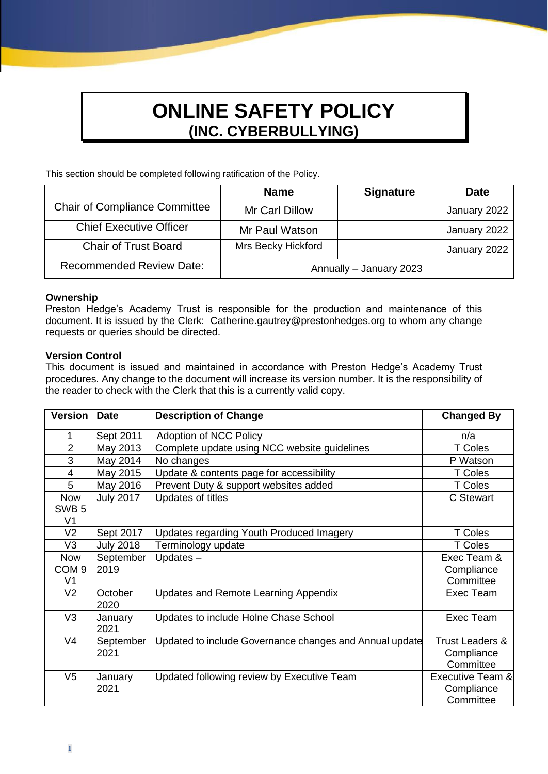# **ONLINE SAFETY POLICY (INC. CYBERBULLYING)**

This section should be completed following ratification of the Policy.

|                                      | <b>Name</b>             | <b>Signature</b> | <b>Date</b>  |
|--------------------------------------|-------------------------|------------------|--------------|
| <b>Chair of Compliance Committee</b> | Mr Carl Dillow          |                  | January 2022 |
| <b>Chief Executive Officer</b>       | Mr Paul Watson          |                  | January 2022 |
| <b>Chair of Trust Board</b>          | Mrs Becky Hickford      |                  | January 2022 |
| <b>Recommended Review Date:</b>      | Annually - January 2023 |                  |              |

#### **Ownership**

Preston Hedge's Academy Trust is responsible for the production and maintenance of this document. It is issued by the Clerk: Catherine.gautrey@prestonhedges.org to whom any change requests or queries should be directed.

### **Version Control**

This document is issued and maintained in accordance with Preston Hedge's Academy Trust procedures. Any change to the document will increase its version number. It is the responsibility of the reader to check with the Clerk that this is a currently valid copy.

| <b>Version</b>                 | <b>Date</b>      | <b>Description of Change</b>                            | <b>Changed By</b>          |
|--------------------------------|------------------|---------------------------------------------------------|----------------------------|
| 1                              | Sept 2011        | Adoption of NCC Policy                                  | n/a                        |
| $\overline{2}$                 | May 2013         | Complete update using NCC website guidelines            | T Coles                    |
| 3                              | May 2014         | No changes                                              | P Watson                   |
| 4                              | May 2015         | Update & contents page for accessibility                | T Coles                    |
| 5                              | May 2016         | Prevent Duty & support websites added                   | T Coles                    |
| <b>Now</b><br>SWB <sub>5</sub> | <b>July 2017</b> | Updates of titles                                       | C Stewart                  |
| V <sub>1</sub>                 |                  |                                                         |                            |
| V <sub>2</sub>                 | Sept 2017        | Updates regarding Youth Produced Imagery                | T Coles                    |
| V <sub>3</sub>                 | <b>July 2018</b> | Terminology update                                      | T Coles                    |
| <b>Now</b>                     | September        | Updates-                                                | Exec Team &                |
| COM <sub>9</sub>               | 2019             |                                                         | Compliance                 |
| V <sub>1</sub>                 |                  |                                                         | Committee                  |
| V <sub>2</sub>                 | October<br>2020  | Updates and Remote Learning Appendix                    | Exec Team                  |
| V <sub>3</sub>                 | January          | Updates to include Holne Chase School                   | Exec Team                  |
|                                | 2021             |                                                         |                            |
| V <sub>4</sub>                 | September        | Updated to include Governance changes and Annual update | <b>Trust Leaders &amp;</b> |
|                                | 2021             |                                                         | Compliance                 |
|                                |                  |                                                         | Committee                  |
| V <sub>5</sub>                 | January          | Updated following review by Executive Team              | Executive Team &           |
|                                | 2021             |                                                         | Compliance                 |
|                                |                  |                                                         | Committee                  |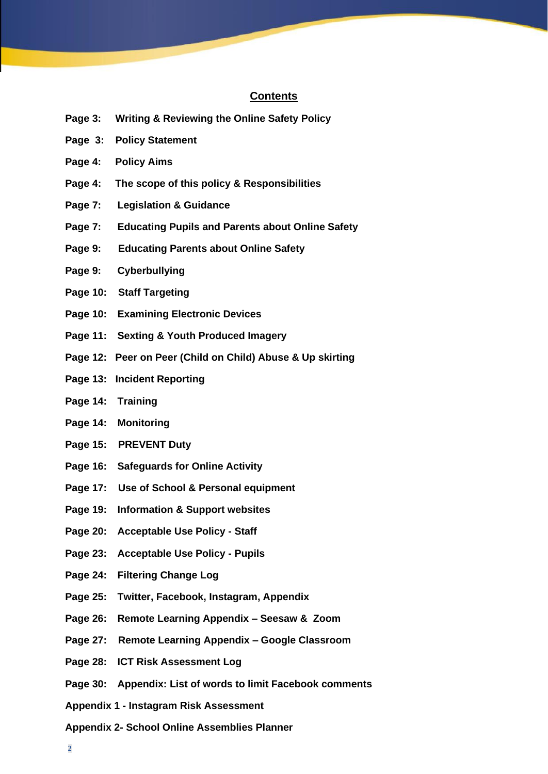#### **Contents**

- **Page 3: Writing & Reviewing the Online Safety Policy**
- **Page 3: Policy Statement**
- **Page 4: Policy Aims**
- **Page 4: The scope of this policy & Responsibilities**
- **Page 7: Legislation & Guidance**
- **Page 7: Educating Pupils and Parents about Online Safety**
- **Page 9: Educating Parents about Online Safety**
- **Page 9: Cyberbullying**
- **Page 10: Staff Targeting**
- **Page 10: Examining Electronic Devices**
- **Page 11: Sexting & Youth Produced Imagery**
- **Page 12: Peer on Peer (Child on Child) Abuse & Up skirting**
- **Page 13: Incident Reporting**
- **Page 14: Training**
- **Page 14: Monitoring**
- **Page 15: PREVENT Duty**
- **Page 16: Safeguards for Online Activity**
- **Page 17: Use of School & Personal equipment**
- **Page 19: Information & Support websites**
- **Page 20: Acceptable Use Policy - Staff**
- **Page 23: Acceptable Use Policy - Pupils**
- **Page 24: Filtering Change Log**
- **Page 25: Twitter, Facebook, Instagram, Appendix**
- **Page 26: Remote Learning Appendix – Seesaw & Zoom**
- **Page 27: Remote Learning Appendix – Google Classroom**
- **Page 28: ICT Risk Assessment Log**
- **Page 30: Appendix: List of words to limit Facebook comments**
- **Appendix 1 - Instagram Risk Assessment**
- **Appendix 2- School Online Assemblies Planner**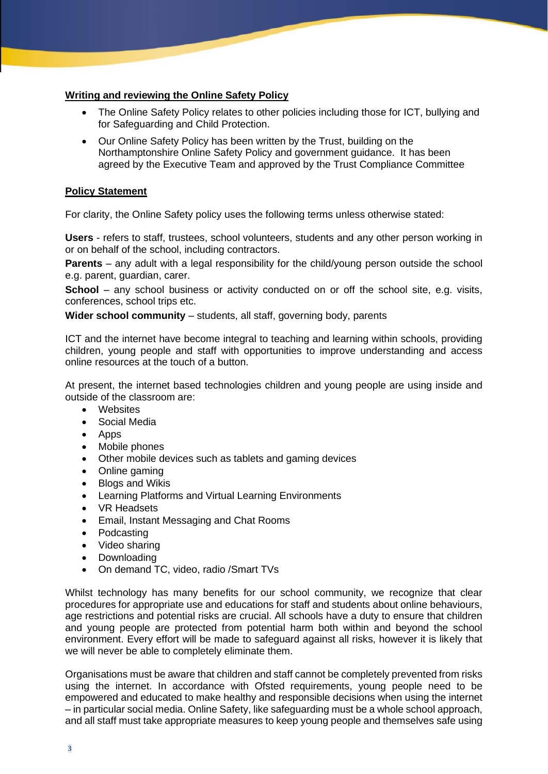#### **Writing and reviewing the Online Safety Policy**

- The Online Safety Policy relates to other policies including those for ICT, bullying and for Safeguarding and Child Protection.
- Our Online Safety Policy has been written by the Trust, building on the Northamptonshire Online Safety Policy and government guidance. It has been agreed by the Executive Team and approved by the Trust Compliance Committee

#### **Policy Statement**

For clarity, the Online Safety policy uses the following terms unless otherwise stated:

**Users** - refers to staff, trustees, school volunteers, students and any other person working in or on behalf of the school, including contractors.

**Parents** – any adult with a legal responsibility for the child/young person outside the school e.g. parent, guardian, carer.

**School** – any school business or activity conducted on or off the school site, e.g. visits, conferences, school trips etc.

**Wider school community** – students, all staff, governing body, parents

ICT and the internet have become integral to teaching and learning within schools, providing children, young people and staff with opportunities to improve understanding and access online resources at the touch of a button.

At present, the internet based technologies children and young people are using inside and outside of the classroom are:

- Websites
- Social Media
- Apps
- Mobile phones
- Other mobile devices such as tablets and gaming devices
- Online gaming
- Blogs and Wikis
- Learning Platforms and Virtual Learning Environments
- VR Headsets
- Email, Instant Messaging and Chat Rooms
- Podcasting
- Video sharing
- Downloading
- On demand TC, video, radio /Smart TVs

Whilst technology has many benefits for our school community, we recognize that clear procedures for appropriate use and educations for staff and students about online behaviours, age restrictions and potential risks are crucial. All schools have a duty to ensure that children and young people are protected from potential harm both within and beyond the school environment. Every effort will be made to safeguard against all risks, however it is likely that we will never be able to completely eliminate them.

Organisations must be aware that children and staff cannot be completely prevented from risks using the internet. In accordance with Ofsted requirements, young people need to be empowered and educated to make healthy and responsible decisions when using the internet – in particular social media. Online Safety, like safeguarding must be a whole school approach, and all staff must take appropriate measures to keep young people and themselves safe using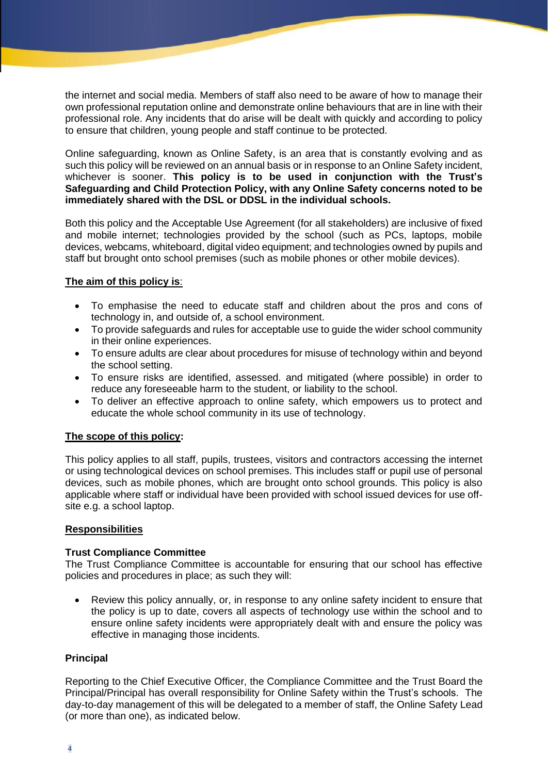the internet and social media. Members of staff also need to be aware of how to manage their own professional reputation online and demonstrate online behaviours that are in line with their professional role. Any incidents that do arise will be dealt with quickly and according to policy to ensure that children, young people and staff continue to be protected.

Online safeguarding, known as Online Safety, is an area that is constantly evolving and as such this policy will be reviewed on an annual basis or in response to an Online Safety incident, whichever is sooner. **This policy is to be used in conjunction with the Trust's Safeguarding and Child Protection Policy, with any Online Safety concerns noted to be immediately shared with the DSL or DDSL in the individual schools.**

Both this policy and the Acceptable Use Agreement (for all stakeholders) are inclusive of fixed and mobile internet; technologies provided by the school (such as PCs, laptops, mobile devices, webcams, whiteboard, digital video equipment; and technologies owned by pupils and staff but brought onto school premises (such as mobile phones or other mobile devices).

### **The aim of this policy is**:

- To emphasise the need to educate staff and children about the pros and cons of technology in, and outside of, a school environment.
- To provide safeguards and rules for acceptable use to guide the wider school community in their online experiences.
- To ensure adults are clear about procedures for misuse of technology within and beyond the school setting.
- To ensure risks are identified, assessed. and mitigated (where possible) in order to reduce any foreseeable harm to the student, or liability to the school.
- To deliver an effective approach to online safety, which empowers us to protect and educate the whole school community in its use of technology.

#### **The scope of this policy:**

This policy applies to all staff, pupils, trustees, visitors and contractors accessing the internet or using technological devices on school premises. This includes staff or pupil use of personal devices, such as mobile phones, which are brought onto school grounds. This policy is also applicable where staff or individual have been provided with school issued devices for use offsite e.g. a school laptop.

#### **Responsibilities**

#### **Trust Compliance Committee**

The Trust Compliance Committee is accountable for ensuring that our school has effective policies and procedures in place; as such they will:

• Review this policy annually, or, in response to any online safety incident to ensure that the policy is up to date, covers all aspects of technology use within the school and to ensure online safety incidents were appropriately dealt with and ensure the policy was effective in managing those incidents.

#### **Principal**

Reporting to the Chief Executive Officer, the Compliance Committee and the Trust Board the Principal/Principal has overall responsibility for Online Safety within the Trust's schools. The day-to-day management of this will be delegated to a member of staff, the Online Safety Lead (or more than one), as indicated below.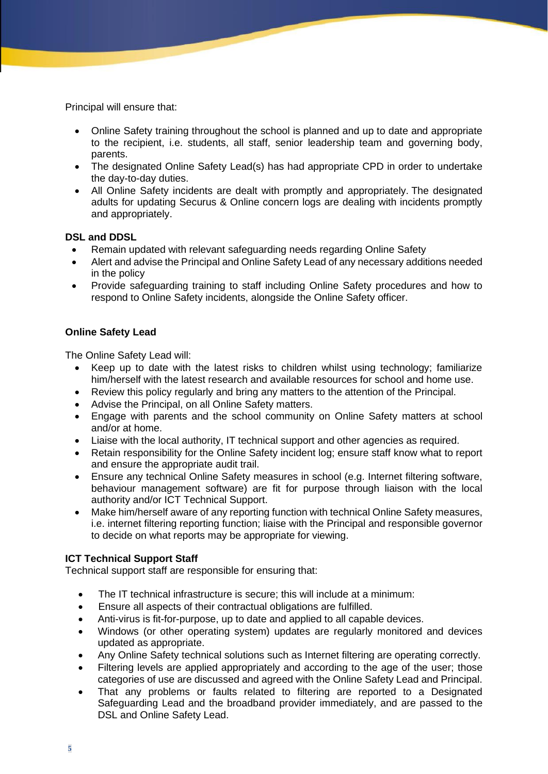Principal will ensure that:

- Online Safety training throughout the school is planned and up to date and appropriate to the recipient, i.e. students, all staff, senior leadership team and governing body, parents.
- The designated Online Safety Lead(s) has had appropriate CPD in order to undertake the day-to-day duties.
- All Online Safety incidents are dealt with promptly and appropriately. The designated adults for updating Securus & Online concern logs are dealing with incidents promptly and appropriately.

#### **DSL and DDSL**

- Remain updated with relevant safeguarding needs regarding Online Safety
- Alert and advise the Principal and Online Safety Lead of any necessary additions needed in the policy
- Provide safeguarding training to staff including Online Safety procedures and how to respond to Online Safety incidents, alongside the Online Safety officer.

#### **Online Safety Lead**

The Online Safety Lead will:

- Keep up to date with the latest risks to children whilst using technology; familiarize him/herself with the latest research and available resources for school and home use.
- Review this policy regularly and bring any matters to the attention of the Principal.
- Advise the Principal, on all Online Safety matters.
- Engage with parents and the school community on Online Safety matters at school and/or at home.
- Liaise with the local authority, IT technical support and other agencies as required.
- Retain responsibility for the Online Safety incident log; ensure staff know what to report and ensure the appropriate audit trail.
- Ensure any technical Online Safety measures in school (e.g. Internet filtering software, behaviour management software) are fit for purpose through liaison with the local authority and/or ICT Technical Support.
- Make him/herself aware of any reporting function with technical Online Safety measures, i.e. internet filtering reporting function; liaise with the Principal and responsible governor to decide on what reports may be appropriate for viewing.

#### **ICT Technical Support Staff**

Technical support staff are responsible for ensuring that:

- The IT technical infrastructure is secure; this will include at a minimum:
- Ensure all aspects of their contractual obligations are fulfilled.
- Anti-virus is fit-for-purpose, up to date and applied to all capable devices.
- Windows (or other operating system) updates are regularly monitored and devices updated as appropriate.
- Any Online Safety technical solutions such as Internet filtering are operating correctly.
- Filtering levels are applied appropriately and according to the age of the user; those categories of use are discussed and agreed with the Online Safety Lead and Principal.
- That any problems or faults related to filtering are reported to a Designated Safeguarding Lead and the broadband provider immediately, and are passed to the DSL and Online Safety Lead.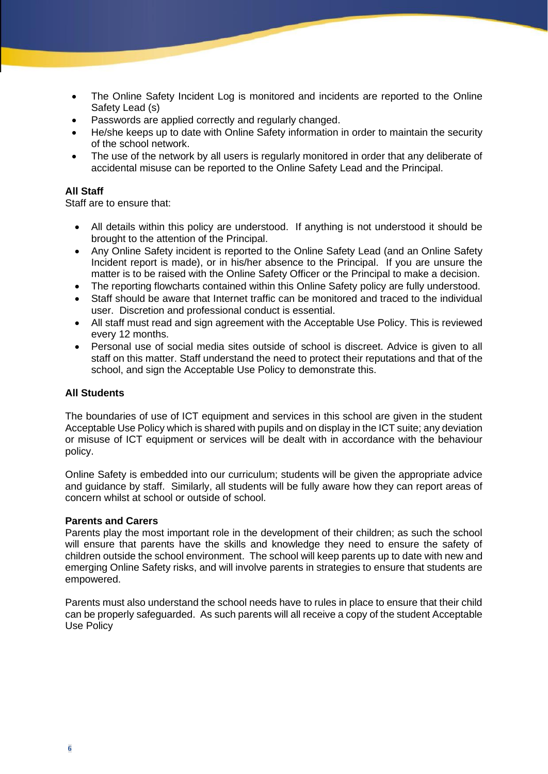- The Online Safety Incident Log is monitored and incidents are reported to the Online Safety Lead (s)
- Passwords are applied correctly and regularly changed.
- He/she keeps up to date with Online Safety information in order to maintain the security of the school network.
- The use of the network by all users is regularly monitored in order that any deliberate of accidental misuse can be reported to the Online Safety Lead and the Principal.

#### **All Staff**

Staff are to ensure that:

- All details within this policy are understood. If anything is not understood it should be brought to the attention of the Principal.
- Any Online Safety incident is reported to the Online Safety Lead (and an Online Safety Incident report is made), or in his/her absence to the Principal. If you are unsure the matter is to be raised with the Online Safety Officer or the Principal to make a decision.
- The reporting flowcharts contained within this Online Safety policy are fully understood.
- Staff should be aware that Internet traffic can be monitored and traced to the individual user. Discretion and professional conduct is essential.
- All staff must read and sign agreement with the Acceptable Use Policy. This is reviewed every 12 months.
- Personal use of social media sites outside of school is discreet. Advice is given to all staff on this matter. Staff understand the need to protect their reputations and that of the school, and sign the Acceptable Use Policy to demonstrate this.

#### **All Students**

The boundaries of use of ICT equipment and services in this school are given in the student Acceptable Use Policy which is shared with pupils and on display in the ICT suite; any deviation or misuse of ICT equipment or services will be dealt with in accordance with the behaviour policy.

Online Safety is embedded into our curriculum; students will be given the appropriate advice and guidance by staff. Similarly, all students will be fully aware how they can report areas of concern whilst at school or outside of school.

#### **Parents and Carers**

Parents play the most important role in the development of their children; as such the school will ensure that parents have the skills and knowledge they need to ensure the safety of children outside the school environment. The school will keep parents up to date with new and emerging Online Safety risks, and will involve parents in strategies to ensure that students are empowered.

Parents must also understand the school needs have to rules in place to ensure that their child can be properly safeguarded. As such parents will all receive a copy of the student Acceptable Use Policy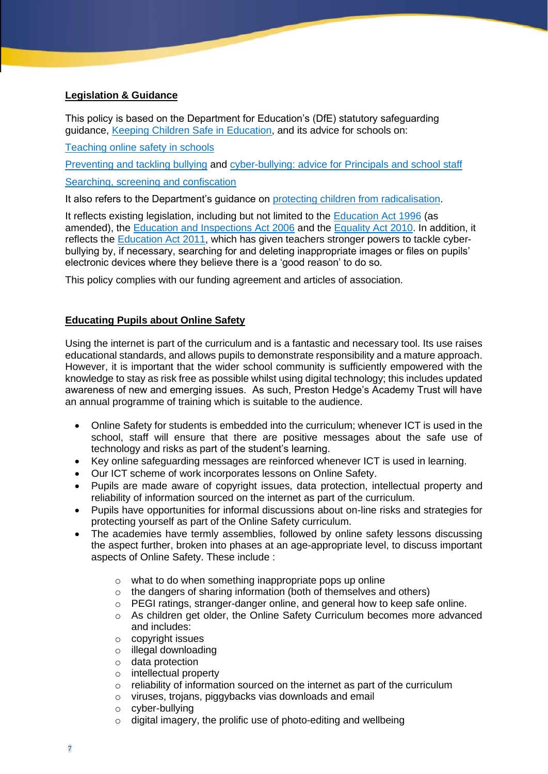#### **Legislation & Guidance**

This policy is based on the Department for Education's (DfE) statutory safeguarding guidance, [Keeping Children Safe in Education,](about:blank) and its advice for schools on:

[Teaching online safety in schools](about:blank)

Preventing and tackling bullying and [cyber-bullying: advice for Principals and school staff](about:blank)

[Searching, screening and confiscation](about:blank)

It also refers to the Department's guidance on [protecting children from radicalisation.](about:blank)

It reflects existing legislation, including but not limited to the [Education Act 1996](about:blank) (as amended), the [Education and Inspections Act 2006](about:blank) and the [Equality Act 2010.](about:blank) In addition, it reflects the [Education Act 2011,](about:blank) which has given teachers stronger powers to tackle cyberbullying by, if necessary, searching for and deleting inappropriate images or files on pupils' electronic devices where they believe there is a 'good reason' to do so.

This policy complies with our funding agreement and articles of association.

#### **Educating Pupils about Online Safety**

Using the internet is part of the curriculum and is a fantastic and necessary tool. Its use raises educational standards, and allows pupils to demonstrate responsibility and a mature approach. However, it is important that the wider school community is sufficiently empowered with the knowledge to stay as risk free as possible whilst using digital technology; this includes updated awareness of new and emerging issues. As such, Preston Hedge's Academy Trust will have an annual programme of training which is suitable to the audience.

- Online Safety for students is embedded into the curriculum; whenever ICT is used in the school, staff will ensure that there are positive messages about the safe use of technology and risks as part of the student's learning.
- Key online safeguarding messages are reinforced whenever ICT is used in learning.
- Our ICT scheme of work incorporates lessons on Online Safety.
- Pupils are made aware of copyright issues, data protection, intellectual property and reliability of information sourced on the internet as part of the curriculum.
- Pupils have opportunities for informal discussions about on-line risks and strategies for protecting yourself as part of the Online Safety curriculum.
- The academies have termly assemblies, followed by online safety lessons discussing the aspect further, broken into phases at an age-appropriate level, to discuss important aspects of Online Safety. These include :
	- o what to do when something inappropriate pops up online
	- o the dangers of sharing information (both of themselves and others)
	- $\circ$  PEGI ratings, stranger-danger online, and general how to keep safe online.
	- $\circ$  As children get older, the Online Safety Curriculum becomes more advanced and includes:
	- o copyright issues
	- o illegal downloading
	- o data protection
	- o intellectual property
	- o reliability of information sourced on the internet as part of the curriculum
	- o viruses, trojans, piggybacks vias downloads and email
	- o cyber-bullying
	- $\circ$  digital imagery, the prolific use of photo-editing and wellbeing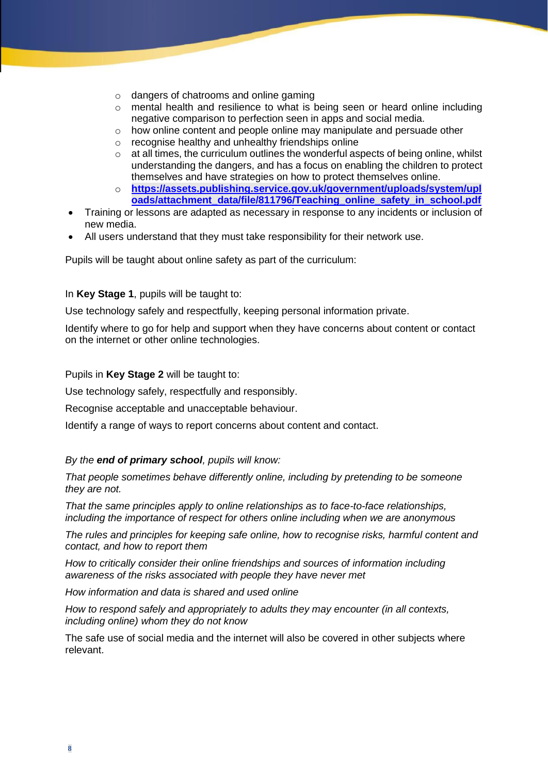- o dangers of chatrooms and online gaming
- o mental health and resilience to what is being seen or heard online including negative comparison to perfection seen in apps and social media.
- $\circ$  how online content and people online may manipulate and persuade other
- o recognise healthy and unhealthy friendships online
- $\circ$  at all times, the curriculum outlines the wonderful aspects of being online, whilst understanding the dangers, and has a focus on enabling the children to protect themselves and have strategies on how to protect themselves online.
- o **[https://assets.publishing.service.gov.uk/government/uploads/system/upl](about:blank) [oads/attachment\\_data/file/811796/Teaching\\_online\\_safety\\_in\\_school.pdf](about:blank)**
- Training or lessons are adapted as necessary in response to any incidents or inclusion of new media.
- All users understand that they must take responsibility for their network use.

Pupils will be taught about online safety as part of the curriculum:

#### In **Key Stage 1**, pupils will be taught to:

Use technology safely and respectfully, keeping personal information private.

Identify where to go for help and support when they have concerns about content or contact on the internet or other online technologies.

Pupils in **Key Stage 2** will be taught to:

Use technology safely, respectfully and responsibly.

Recognise acceptable and unacceptable behaviour.

Identify a range of ways to report concerns about content and contact.

#### *By the end of primary school, pupils will know:*

*That people sometimes behave differently online, including by pretending to be someone they are not.*

*That the same principles apply to online relationships as to face-to-face relationships, including the importance of respect for others online including when we are anonymous*

*The rules and principles for keeping safe online, how to recognise risks, harmful content and contact, and how to report them*

*How to critically consider their online friendships and sources of information including awareness of the risks associated with people they have never met*

*How information and data is shared and used online*

*How to respond safely and appropriately to adults they may encounter (in all contexts, including online) whom they do not know*

The safe use of social media and the internet will also be covered in other subjects where relevant.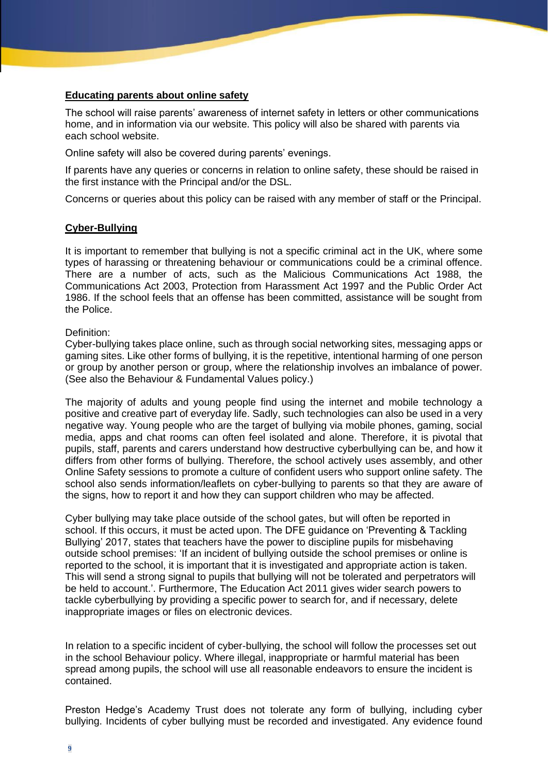#### **Educating parents about online safety**

The school will raise parents' awareness of internet safety in letters or other communications home, and in information via our website. This policy will also be shared with parents via each school website.

Online safety will also be covered during parents' evenings.

If parents have any queries or concerns in relation to online safety, these should be raised in the first instance with the Principal and/or the DSL.

Concerns or queries about this policy can be raised with any member of staff or the Principal.

#### **Cyber-Bullying**

It is important to remember that bullying is not a specific criminal act in the UK, where some types of harassing or threatening behaviour or communications could be a criminal offence. There are a number of acts, such as the Malicious Communications Act 1988, the Communications Act 2003, Protection from Harassment Act 1997 and the Public Order Act 1986. If the school feels that an offense has been committed, assistance will be sought from the Police.

#### Definition:

Cyber-bullying takes place online, such as through social networking sites, messaging apps or gaming sites. Like other forms of bullying, it is the repetitive, intentional harming of one person or group by another person or group, where the relationship involves an imbalance of power. (See also the Behaviour & Fundamental Values policy.)

The majority of adults and young people find using the internet and mobile technology a positive and creative part of everyday life. Sadly, such technologies can also be used in a very negative way. Young people who are the target of bullying via mobile phones, gaming, social media, apps and chat rooms can often feel isolated and alone. Therefore, it is pivotal that pupils, staff, parents and carers understand how destructive cyberbullying can be, and how it differs from other forms of bullying. Therefore, the school actively uses assembly, and other Online Safety sessions to promote a culture of confident users who support online safety. The school also sends information/leaflets on cyber-bullying to parents so that they are aware of the signs, how to report it and how they can support children who may be affected.

Cyber bullying may take place outside of the school gates, but will often be reported in school. If this occurs, it must be acted upon. The DFE guidance on 'Preventing & Tackling Bullying' 2017, states that teachers have the power to discipline pupils for misbehaving outside school premises: 'If an incident of bullying outside the school premises or online is reported to the school, it is important that it is investigated and appropriate action is taken. This will send a strong signal to pupils that bullying will not be tolerated and perpetrators will be held to account.'. Furthermore, The Education Act 2011 gives wider search powers to tackle cyberbullying by providing a specific power to search for, and if necessary, delete inappropriate images or files on electronic devices.

In relation to a specific incident of cyber-bullying, the school will follow the processes set out in the school Behaviour policy. Where illegal, inappropriate or harmful material has been spread among pupils, the school will use all reasonable endeavors to ensure the incident is contained.

Preston Hedge's Academy Trust does not tolerate any form of bullying, including cyber bullying. Incidents of cyber bullying must be recorded and investigated. Any evidence found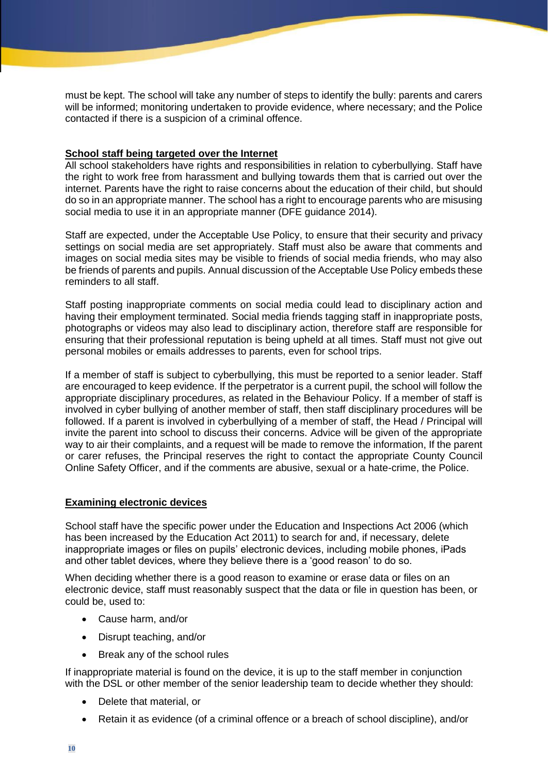must be kept. The school will take any number of steps to identify the bully: parents and carers will be informed; monitoring undertaken to provide evidence, where necessary; and the Police contacted if there is a suspicion of a criminal offence.

#### **School staff being targeted over the Internet**

All school stakeholders have rights and responsibilities in relation to cyberbullying. Staff have the right to work free from harassment and bullying towards them that is carried out over the internet. Parents have the right to raise concerns about the education of their child, but should do so in an appropriate manner. The school has a right to encourage parents who are misusing social media to use it in an appropriate manner (DFE guidance 2014).

Staff are expected, under the Acceptable Use Policy, to ensure that their security and privacy settings on social media are set appropriately. Staff must also be aware that comments and images on social media sites may be visible to friends of social media friends, who may also be friends of parents and pupils. Annual discussion of the Acceptable Use Policy embeds these reminders to all staff.

Staff posting inappropriate comments on social media could lead to disciplinary action and having their employment terminated. Social media friends tagging staff in inappropriate posts, photographs or videos may also lead to disciplinary action, therefore staff are responsible for ensuring that their professional reputation is being upheld at all times. Staff must not give out personal mobiles or emails addresses to parents, even for school trips.

If a member of staff is subject to cyberbullying, this must be reported to a senior leader. Staff are encouraged to keep evidence. If the perpetrator is a current pupil, the school will follow the appropriate disciplinary procedures, as related in the Behaviour Policy. If a member of staff is involved in cyber bullying of another member of staff, then staff disciplinary procedures will be followed. If a parent is involved in cyberbullying of a member of staff, the Head / Principal will invite the parent into school to discuss their concerns. Advice will be given of the appropriate way to air their complaints, and a request will be made to remove the information, If the parent or carer refuses, the Principal reserves the right to contact the appropriate County Council Online Safety Officer, and if the comments are abusive, sexual or a hate-crime, the Police.

#### **Examining electronic devices**

School staff have the specific power under the Education and Inspections Act 2006 (which has been increased by the Education Act 2011) to search for and, if necessary, delete inappropriate images or files on pupils' electronic devices, including mobile phones, iPads and other tablet devices, where they believe there is a 'good reason' to do so.

When deciding whether there is a good reason to examine or erase data or files on an electronic device, staff must reasonably suspect that the data or file in question has been, or could be, used to:

- Cause harm, and/or
- Disrupt teaching, and/or
- Break any of the school rules

If inappropriate material is found on the device, it is up to the staff member in conjunction with the DSL or other member of the senior leadership team to decide whether they should:

- Delete that material, or
- Retain it as evidence (of a criminal offence or a breach of school discipline), and/or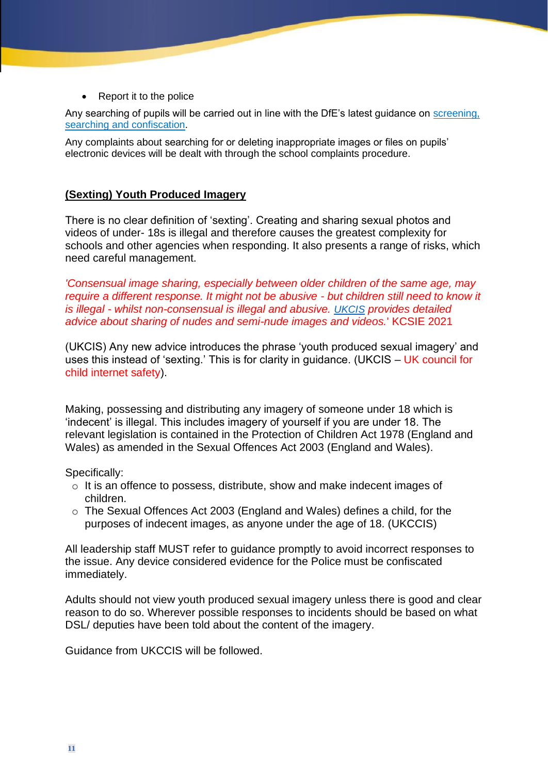• Report it to the police

Any searching of pupils will be carried out in line with the DfE's latest guidance on [screening,](about:blank)  [searching and confiscation.](about:blank)

Any complaints about searching for or deleting inappropriate images or files on pupils' electronic devices will be dealt with through the school complaints procedure.

# **(Sexting) Youth Produced Imagery**

There is no clear definition of 'sexting'. Creating and sharing sexual photos and videos of under- 18s is illegal and therefore causes the greatest complexity for schools and other agencies when responding. It also presents a range of risks, which need careful management.

*'Consensual image sharing, especially between older children of the same age, may require a different response. It might not be abusive - but children still need to know it is illegal - whilst non-consensual is illegal and abusive. UKCIS provides detailed advice about sharing of nudes and semi-nude images and videos.*' KCSIE 2021

(UKCIS) Any new advice introduces the phrase 'youth produced sexual imagery' and uses this instead of 'sexting.' This is for clarity in guidance. (UKCIS – UK council for child internet safety).

Making, possessing and distributing any imagery of someone under 18 which is 'indecent' is illegal. This includes imagery of yourself if you are under 18. The relevant legislation is contained in the Protection of Children Act 1978 (England and Wales) as amended in the Sexual Offences Act 2003 (England and Wales).

Specifically:

- o It is an offence to possess, distribute, show and make indecent images of children.
- o The Sexual Offences Act 2003 (England and Wales) defines a child, for the purposes of indecent images, as anyone under the age of 18. (UKCCIS)

All leadership staff MUST refer to guidance promptly to avoid incorrect responses to the issue. Any device considered evidence for the Police must be confiscated immediately.

Adults should not view youth produced sexual imagery unless there is good and clear reason to do so. Wherever possible responses to incidents should be based on what DSL/ deputies have been told about the content of the imagery.

Guidance from UKCCIS will be followed.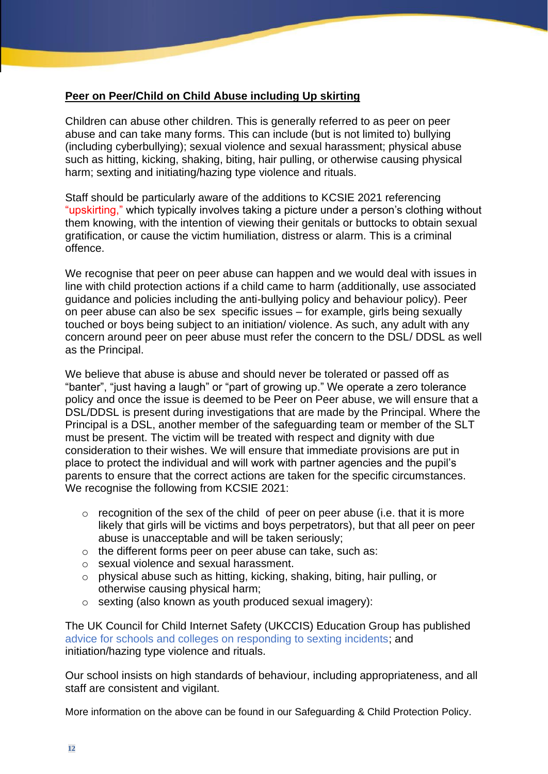# **Peer on Peer/Child on Child Abuse including Up skirting**

Children can abuse other children. This is generally referred to as peer on peer abuse and can take many forms. This can include (but is not limited to) bullying (including cyberbullying); sexual violence and sexual harassment; physical abuse such as hitting, kicking, shaking, biting, hair pulling, or otherwise causing physical harm; sexting and initiating/hazing type violence and rituals.

Staff should be particularly aware of the additions to KCSIE 2021 referencing "upskirting," which typically involves taking a picture under a person's clothing without them knowing, with the intention of viewing their genitals or buttocks to obtain sexual gratification, or cause the victim humiliation, distress or alarm. This is a criminal offence.

We recognise that peer on peer abuse can happen and we would deal with issues in line with child protection actions if a child came to harm (additionally, use associated guidance and policies including the anti-bullying policy and behaviour policy). Peer on peer abuse can also be sex specific issues – for example, girls being sexually touched or boys being subject to an initiation/ violence. As such, any adult with any concern around peer on peer abuse must refer the concern to the DSL/ DDSL as well as the Principal.

We believe that abuse is abuse and should never be tolerated or passed off as "banter", "just having a laugh" or "part of growing up." We operate a zero tolerance policy and once the issue is deemed to be Peer on Peer abuse, we will ensure that a DSL/DDSL is present during investigations that are made by the Principal. Where the Principal is a DSL, another member of the safeguarding team or member of the SLT must be present. The victim will be treated with respect and dignity with due consideration to their wishes. We will ensure that immediate provisions are put in place to protect the individual and will work with partner agencies and the pupil's parents to ensure that the correct actions are taken for the specific circumstances. We recognise the following from KCSIE 2021:

- $\circ$  recognition of the sex of the child of peer on peer abuse (i.e. that it is more likely that girls will be victims and boys perpetrators), but that all peer on peer abuse is unacceptable and will be taken seriously;
- o the different forms peer on peer abuse can take, such as:
- o sexual violence and sexual harassment.
- o physical abuse such as hitting, kicking, shaking, biting, hair pulling, or otherwise causing physical harm;
- o sexting (also known as youth produced sexual imagery):

The UK Council for Child Internet Safety (UKCCIS) Education Group has published advice for schools and colleges on responding to sexting incidents; and initiation/hazing type violence and rituals.

Our school insists on high standards of behaviour, including appropriateness, and all staff are consistent and vigilant.

More information on the above can be found in our Safeguarding & Child Protection Policy.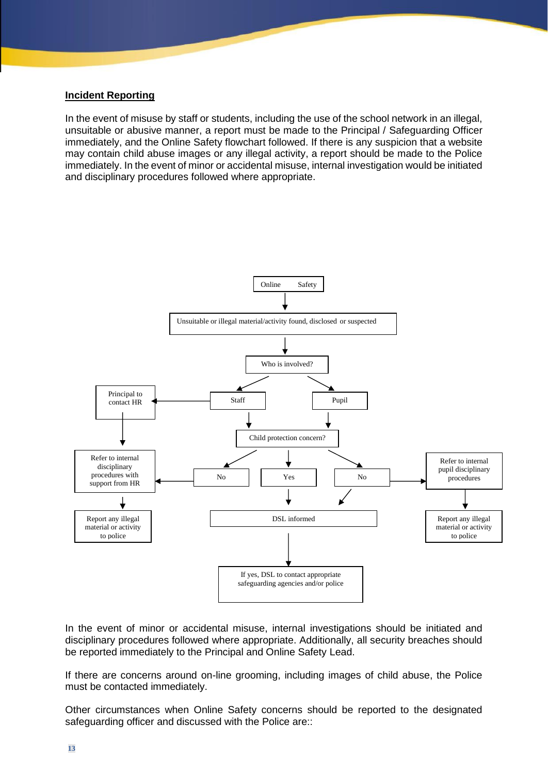#### **Incident Reporting**

In the event of misuse by staff or students, including the use of the school network in an illegal, unsuitable or abusive manner, a report must be made to the Principal / Safeguarding Officer immediately, and the Online Safety flowchart followed. If there is any suspicion that a website may contain child abuse images or any illegal activity, a report should be made to the Police immediately. In the event of minor or accidental misuse, internal investigation would be initiated and disciplinary procedures followed where appropriate.



In the event of minor or accidental misuse, internal investigations should be initiated and disciplinary procedures followed where appropriate. Additionally, all security breaches should be reported immediately to the Principal and Online Safety Lead.

If there are concerns around on-line grooming, including images of child abuse, the Police must be contacted immediately.

Other circumstances when Online Safety concerns should be reported to the designated safeguarding officer and discussed with the Police are::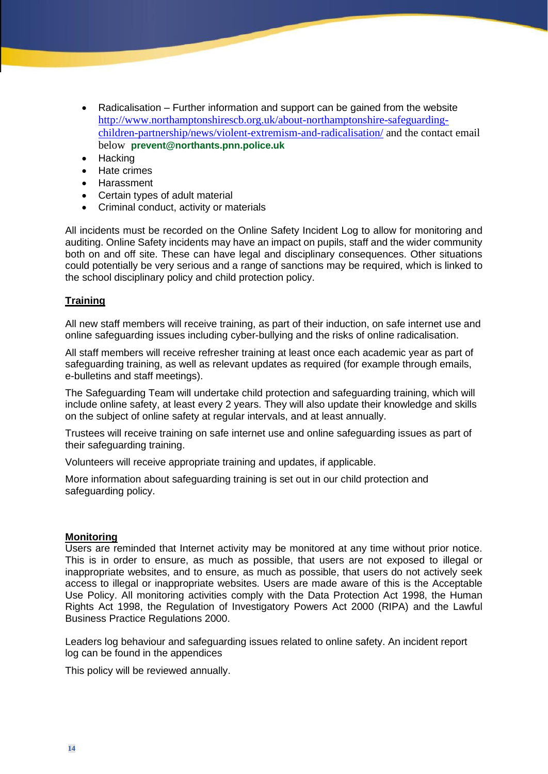- Radicalisation Further information and support can be gained from the website [http://www.northamptonshirescb.org.uk/about-northamptonshire-safeguarding](about:blank)[children-partnership/news/violent-extremism-and-radicalisation/](about:blank) and the contact email below **prevent@northants.pnn.police.uk**
- Hacking
- Hate crimes
- Harassment
- Certain types of adult material
- Criminal conduct, activity or materials

All incidents must be recorded on the Online Safety Incident Log to allow for monitoring and auditing. Online Safety incidents may have an impact on pupils, staff and the wider community both on and off site. These can have legal and disciplinary consequences. Other situations could potentially be very serious and a range of sanctions may be required, which is linked to the school disciplinary policy and child protection policy.

#### **Training**

All new staff members will receive training, as part of their induction, on safe internet use and online safeguarding issues including cyber-bullying and the risks of online radicalisation.

All staff members will receive refresher training at least once each academic year as part of safeguarding training, as well as relevant updates as required (for example through emails, e-bulletins and staff meetings).

The Safeguarding Team will undertake child protection and safeguarding training, which will include online safety, at least every 2 years. They will also update their knowledge and skills on the subject of online safety at regular intervals, and at least annually.

Trustees will receive training on safe internet use and online safeguarding issues as part of their safeguarding training.

Volunteers will receive appropriate training and updates, if applicable.

More information about safeguarding training is set out in our child protection and safeguarding policy.

#### **Monitoring**

Users are reminded that Internet activity may be monitored at any time without prior notice. This is in order to ensure, as much as possible, that users are not exposed to illegal or inappropriate websites, and to ensure, as much as possible, that users do not actively seek access to illegal or inappropriate websites. Users are made aware of this is the Acceptable Use Policy. All monitoring activities comply with the Data Protection Act 1998, the Human Rights Act 1998, the Regulation of Investigatory Powers Act 2000 (RIPA) and the Lawful Business Practice Regulations 2000.

Leaders log behaviour and safeguarding issues related to online safety. An incident report log can be found in the appendices

This policy will be reviewed annually.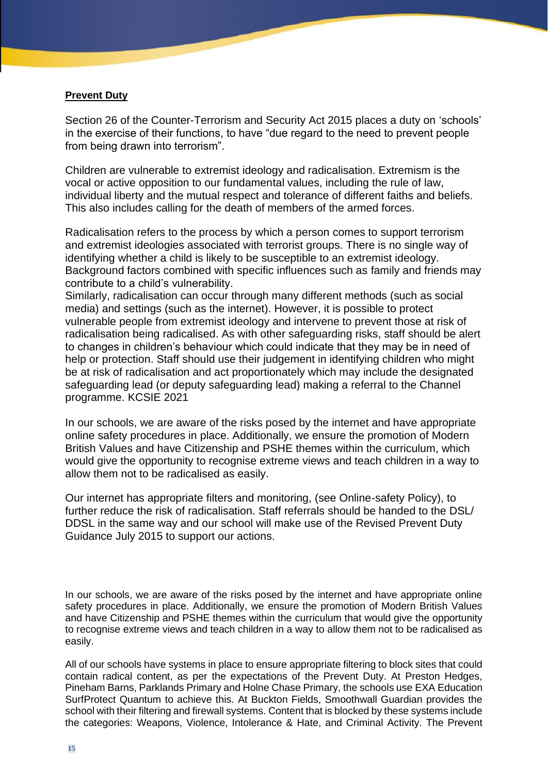#### **Prevent Duty**

Section 26 of the Counter-Terrorism and Security Act 2015 places a duty on 'schools' in the exercise of their functions, to have "due regard to the need to prevent people from being drawn into terrorism".

Children are vulnerable to extremist ideology and radicalisation. Extremism is the vocal or active opposition to our fundamental values, including the rule of law, individual liberty and the mutual respect and tolerance of different faiths and beliefs. This also includes calling for the death of members of the armed forces.

Radicalisation refers to the process by which a person comes to support terrorism and extremist ideologies associated with terrorist groups. There is no single way of identifying whether a child is likely to be susceptible to an extremist ideology. Background factors combined with specific influences such as family and friends may contribute to a child's vulnerability.

Similarly, radicalisation can occur through many different methods (such as social media) and settings (such as the internet). However, it is possible to protect vulnerable people from extremist ideology and intervene to prevent those at risk of radicalisation being radicalised. As with other safeguarding risks, staff should be alert to changes in children's behaviour which could indicate that they may be in need of help or protection. Staff should use their judgement in identifying children who might be at risk of radicalisation and act proportionately which may include the designated safeguarding lead (or deputy safeguarding lead) making a referral to the Channel programme. KCSIE 2021

In our schools, we are aware of the risks posed by the internet and have appropriate online safety procedures in place. Additionally, we ensure the promotion of Modern British Values and have Citizenship and PSHE themes within the curriculum, which would give the opportunity to recognise extreme views and teach children in a way to allow them not to be radicalised as easily.

Our internet has appropriate filters and monitoring, (see Online-safety Policy), to further reduce the risk of radicalisation. Staff referrals should be handed to the DSL/ DDSL in the same way and our school will make use of the Revised Prevent Duty Guidance July 2015 to support our actions.

In our schools, we are aware of the risks posed by the internet and have appropriate online safety procedures in place. Additionally, we ensure the promotion of Modern British Values and have Citizenship and PSHE themes within the curriculum that would give the opportunity to recognise extreme views and teach children in a way to allow them not to be radicalised as easily.

All of our schools have systems in place to ensure appropriate filtering to block sites that could contain radical content, as per the expectations of the Prevent Duty. At Preston Hedges, Pineham Barns, Parklands Primary and Holne Chase Primary, the schools use EXA Education SurfProtect Quantum to achieve this. At Buckton Fields, Smoothwall Guardian provides the school with their filtering and firewall systems. Content that is blocked by these systems include the categories: Weapons, Violence, Intolerance & Hate, and Criminal Activity. The Prevent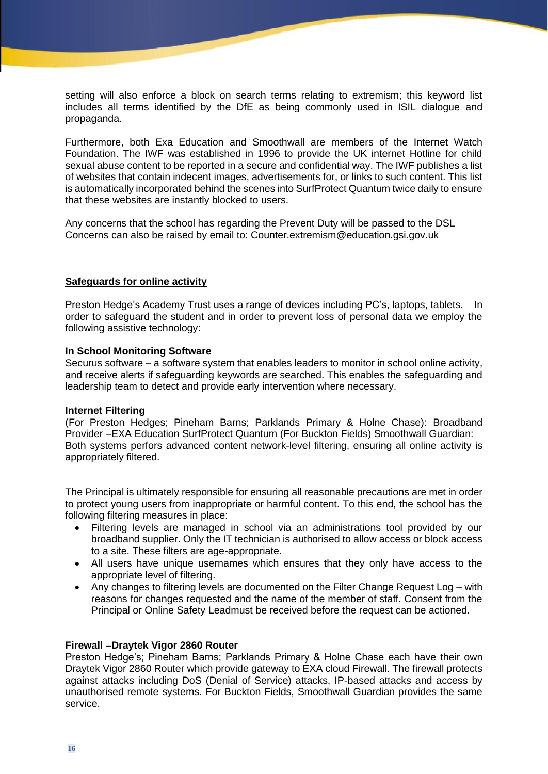setting will also enforce a block on search terms relating to extremism; this keyword list includes all terms identified by the DfE as being commonly used in ISIL dialogue and propaganda.

Furthermore, both Exa Education and Smoothwall are members of the Internet Watch Foundation. The IWF was established in 1996 to provide the UK internet Hotline for child sexual abuse content to be reported in a secure and confidential way. The IWF publishes a list of websites that contain indecent images, advertisements for, or links to such content. This list is automatically incorporated behind the scenes into SurfProtect Quantum twice daily to ensure that these websites are instantly blocked to users.

Any concerns that the school has regarding the Prevent Duty will be passed to the DSL Concerns can also be raised by email to: Counter.extremism@education.gsi.gov.uk

#### **Safeguards for online activity**

Preston Hedge's Academy Trust uses a range of devices including PC's, laptops, tablets. In order to safeguard the student and in order to prevent loss of personal data we employ the following assistive technology:

#### **In School Monitoring Software**

Securus software – a software system that enables leaders to monitor in school online activity, and receive alerts if safeguarding keywords are searched. This enables the safeguarding and leadership team to detect and provide early intervention where necessary.

#### **Internet Filtering**

(For Preston Hedges; Pineham Barns; Parklands Primary & Holne Chase): Broadband Provider –EXA Education SurfProtect Quantum (For Buckton Fields) Smoothwall Guardian: Both systems perfors advanced content network-level filtering, ensuring all online activity is appropriately filtered.

The Principal is ultimately responsible for ensuring all reasonable precautions are met in order to protect young users from inappropriate or harmful content. To this end, the school has the following filtering measures in place:

- Filtering levels are managed in school via an administrations tool provided by our broadband supplier. Only the IT technician is authorised to allow access or block access to a site. These filters are age-appropriate.
- All users have unique usernames which ensures that they only have access to the appropriate level of filtering.
- Any changes to filtering levels are documented on the Filter Change Request Log with reasons for changes requested and the name of the member of staff. Consent from the Principal or Online Safety Leadmust be received before the request can be actioned.

#### **Firewall –Draytek Vigor 2860 Router**

Preston Hedge's; Pineham Barns; Parklands Primary & Holne Chase each have their own Draytek Vigor 2860 Router which provide gateway to EXA cloud Firewall. The firewall protects against attacks including DoS (Denial of Service) attacks, IP-based attacks and access by unauthorised remote systems. For Buckton Fields, Smoothwall Guardian provides the same service.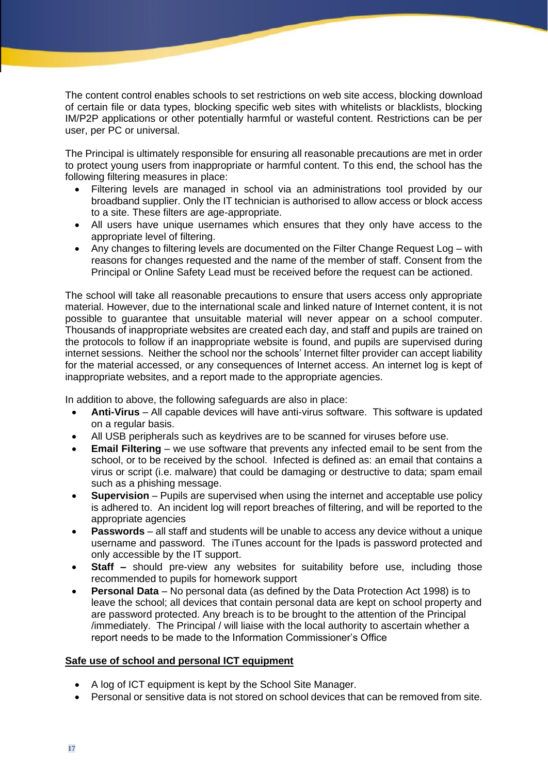The content control enables schools to set restrictions on web site access, blocking download of certain file or data types, blocking specific web sites with whitelists or blacklists, blocking IM/P2P applications or other potentially harmful or wasteful content. Restrictions can be per user, per PC or universal.

The Principal is ultimately responsible for ensuring all reasonable precautions are met in order to protect young users from inappropriate or harmful content. To this end, the school has the following filtering measures in place:

- Filtering levels are managed in school via an administrations tool provided by our broadband supplier. Only the IT technician is authorised to allow access or block access to a site. These filters are age-appropriate.
- All users have unique usernames which ensures that they only have access to the appropriate level of filtering.
- Any changes to filtering levels are documented on the Filter Change Request Log with reasons for changes requested and the name of the member of staff. Consent from the Principal or Online Safety Lead must be received before the request can be actioned.

The school will take all reasonable precautions to ensure that users access only appropriate material. However, due to the international scale and linked nature of Internet content, it is not possible to guarantee that unsuitable material will never appear on a school computer. Thousands of inappropriate websites are created each day, and staff and pupils are trained on the protocols to follow if an inappropriate website is found, and pupils are supervised during internet sessions. Neither the school nor the schools' Internet filter provider can accept liability for the material accessed, or any consequences of Internet access. An internet log is kept of inappropriate websites, and a report made to the appropriate agencies.

In addition to above, the following safeguards are also in place:

- **Anti-Virus** All capable devices will have anti-virus software. This software is updated on a regular basis.
- All USB peripherals such as keydrives are to be scanned for viruses before use.
- **Email Filtering** we use software that prevents any infected email to be sent from the school, or to be received by the school. Infected is defined as: an email that contains a virus or script (i.e. malware) that could be damaging or destructive to data; spam email such as a phishing message.
- **Supervision**  Pupils are supervised when using the internet and acceptable use policy is adhered to. An incident log will report breaches of filtering, and will be reported to the appropriate agencies
- **Passwords** all staff and students will be unable to access any device without a unique username and password. The iTunes account for the Ipads is password protected and only accessible by the IT support.
- **Staff –** should pre-view any websites for suitability before use, including those recommended to pupils for homework support
- **Personal Data** No personal data (as defined by the Data Protection Act 1998) is to leave the school; all devices that contain personal data are kept on school property and are password protected. Any breach is to be brought to the attention of the Principal /immediately. The Principal / will liaise with the local authority to ascertain whether a report needs to be made to the Information Commissioner's Office

#### **Safe use of school and personal ICT equipment**

- A log of ICT equipment is kept by the School Site Manager.
- Personal or sensitive data is not stored on school devices that can be removed from site.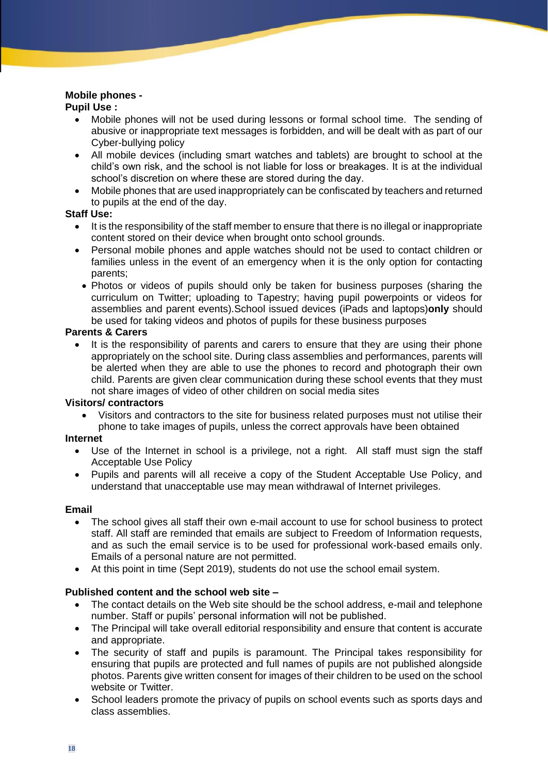# **Mobile phones -**

# **Pupil Use :**

- Mobile phones will not be used during lessons or formal school time. The sending of abusive or inappropriate text messages is forbidden, and will be dealt with as part of our Cyber-bullying policy
- All mobile devices (including smart watches and tablets) are brought to school at the child's own risk, and the school is not liable for loss or breakages. It is at the individual school's discretion on where these are stored during the day.
- Mobile phones that are used inappropriately can be confiscated by teachers and returned to pupils at the end of the day.

### **Staff Use:**

- It is the responsibility of the staff member to ensure that there is no illegal or inappropriate content stored on their device when brought onto school grounds.
- Personal mobile phones and apple watches should not be used to contact children or families unless in the event of an emergency when it is the only option for contacting parents;
- Photos or videos of pupils should only be taken for business purposes (sharing the curriculum on Twitter; uploading to Tapestry; having pupil powerpoints or videos for assemblies and parent events).School issued devices (iPads and laptops)**only** should be used for taking videos and photos of pupils for these business purposes

#### **Parents & Carers**

It is the responsibility of parents and carers to ensure that they are using their phone appropriately on the school site. During class assemblies and performances, parents will be alerted when they are able to use the phones to record and photograph their own child. Parents are given clear communication during these school events that they must not share images of video of other children on social media sites

#### **Visitors/ contractors**

• Visitors and contractors to the site for business related purposes must not utilise their phone to take images of pupils, unless the correct approvals have been obtained

#### **Internet**

- Use of the Internet in school is a privilege, not a right. All staff must sign the staff Acceptable Use Policy
- Pupils and parents will all receive a copy of the Student Acceptable Use Policy, and understand that unacceptable use may mean withdrawal of Internet privileges.

# **Email**

- The school gives all staff their own e-mail account to use for school business to protect staff. All staff are reminded that emails are subject to Freedom of Information requests, and as such the email service is to be used for professional work-based emails only. Emails of a personal nature are not permitted.
- At this point in time (Sept 2019), students do not use the school email system.

# **Published content and the school web site –**

- The contact details on the Web site should be the school address, e-mail and telephone number. Staff or pupils' personal information will not be published.
- The Principal will take overall editorial responsibility and ensure that content is accurate and appropriate.
- The security of staff and pupils is paramount. The Principal takes responsibility for ensuring that pupils are protected and full names of pupils are not published alongside photos. Parents give written consent for images of their children to be used on the school website or Twitter.
- School leaders promote the privacy of pupils on school events such as sports days and class assemblies.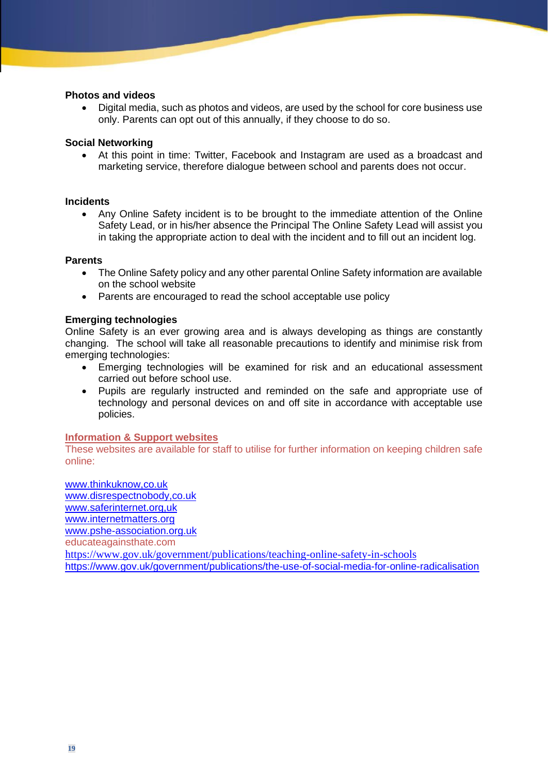#### **Photos and videos**

• Digital media, such as photos and videos, are used by the school for core business use only. Parents can opt out of this annually, if they choose to do so.

#### **Social Networking**

• At this point in time: Twitter, Facebook and Instagram are used as a broadcast and marketing service, therefore dialogue between school and parents does not occur.

#### **Incidents**

• Any Online Safety incident is to be brought to the immediate attention of the Online Safety Lead, or in his/her absence the Principal The Online Safety Lead will assist you in taking the appropriate action to deal with the incident and to fill out an incident log.

#### **Parents**

- The Online Safety policy and any other parental Online Safety information are available on the school website
- Parents are encouraged to read the school acceptable use policy

#### **Emerging technologies**

Online Safety is an ever growing area and is always developing as things are constantly changing. The school will take all reasonable precautions to identify and minimise risk from emerging technologies:

- Emerging technologies will be examined for risk and an educational assessment carried out before school use.
- Pupils are regularly instructed and reminded on the safe and appropriate use of technology and personal devices on and off site in accordance with acceptable use policies.

#### **Information & Support websites**

These websites are available for staff to utilise for further information on keeping children safe online:

www.thinkuknow,co.uk www.disrespectnobody,co.uk www.saferinternet.org,uk [www.internetmatters.org](about:blank) [www.pshe-association.org.uk](about:blank) educateagainsthate.com [https://www.gov.uk/government/publications/teaching-online-safety-in-schools](about:blank) [https://www.gov.uk/government/publications/the-use-of-social-media-for-online-radicalisation](about:blank)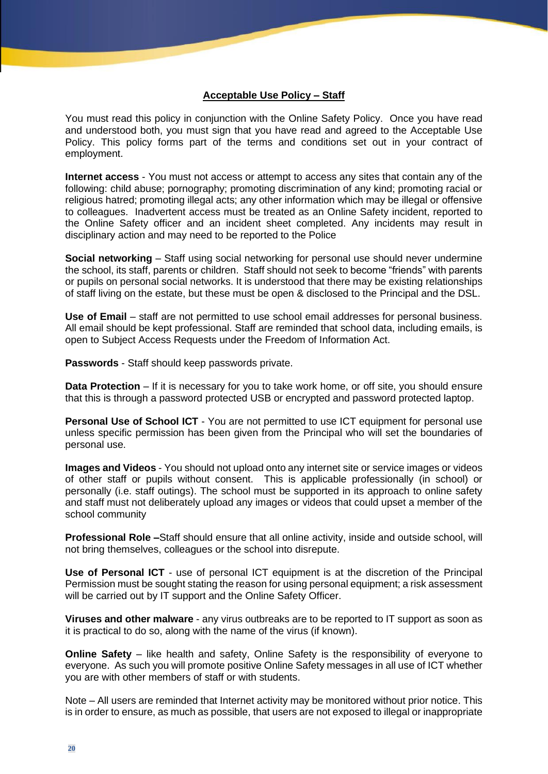#### **Acceptable Use Policy – Staff**

You must read this policy in conjunction with the Online Safety Policy. Once you have read and understood both, you must sign that you have read and agreed to the Acceptable Use Policy. This policy forms part of the terms and conditions set out in your contract of employment.

**Internet access** - You must not access or attempt to access any sites that contain any of the following: child abuse; pornography; promoting discrimination of any kind; promoting racial or religious hatred; promoting illegal acts; any other information which may be illegal or offensive to colleagues. Inadvertent access must be treated as an Online Safety incident, reported to the Online Safety officer and an incident sheet completed. Any incidents may result in disciplinary action and may need to be reported to the Police

**Social networking** – Staff using social networking for personal use should never undermine the school, its staff, parents or children. Staff should not seek to become "friends" with parents or pupils on personal social networks. It is understood that there may be existing relationships of staff living on the estate, but these must be open & disclosed to the Principal and the DSL.

**Use of Email** – staff are not permitted to use school email addresses for personal business. All email should be kept professional. Staff are reminded that school data, including emails, is open to Subject Access Requests under the Freedom of Information Act.

**Passwords** - Staff should keep passwords private.

**Data Protection** – If it is necessary for you to take work home, or off site, you should ensure that this is through a password protected USB or encrypted and password protected laptop.

**Personal Use of School ICT** - You are not permitted to use ICT equipment for personal use unless specific permission has been given from the Principal who will set the boundaries of personal use.

**Images and Videos** - You should not upload onto any internet site or service images or videos of other staff or pupils without consent. This is applicable professionally (in school) or personally (i.e. staff outings). The school must be supported in its approach to online safety and staff must not deliberately upload any images or videos that could upset a member of the school community

**Professional Role –**Staff should ensure that all online activity, inside and outside school, will not bring themselves, colleagues or the school into disrepute.

**Use of Personal ICT** - use of personal ICT equipment is at the discretion of the Principal Permission must be sought stating the reason for using personal equipment; a risk assessment will be carried out by IT support and the Online Safety Officer.

**Viruses and other malware** - any virus outbreaks are to be reported to IT support as soon as it is practical to do so, along with the name of the virus (if known).

**Online Safety** – like health and safety, Online Safety is the responsibility of everyone to everyone. As such you will promote positive Online Safety messages in all use of ICT whether you are with other members of staff or with students.

Note – All users are reminded that Internet activity may be monitored without prior notice. This is in order to ensure, as much as possible, that users are not exposed to illegal or inappropriate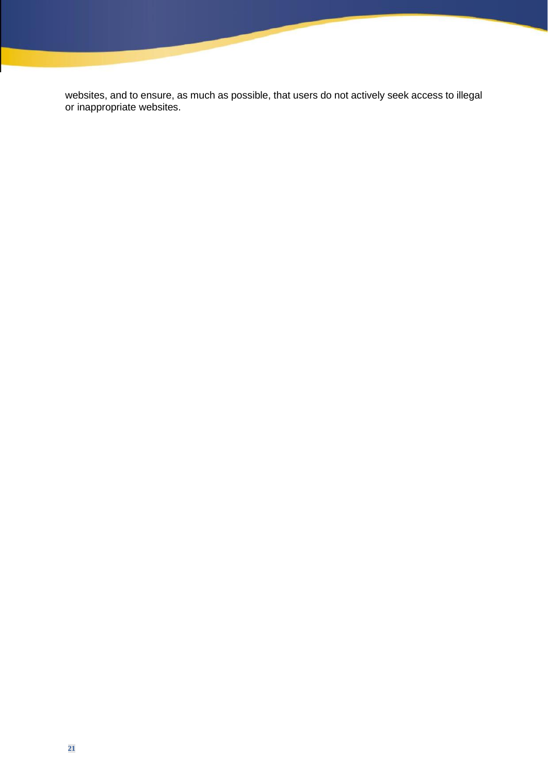websites, and to ensure, as much as possible, that users do not actively seek access to illegal or inappropriate websites.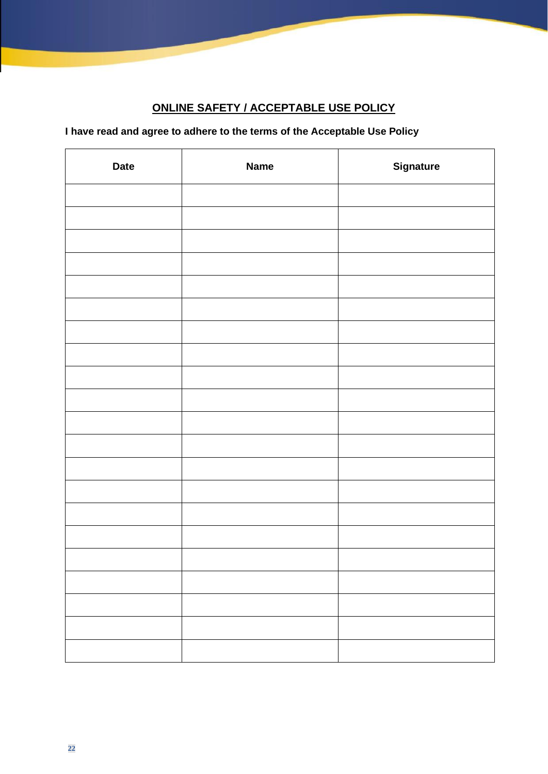# **ONLINE SAFETY / ACCEPTABLE USE POLICY**

# **I have read and agree to adhere to the terms of the Acceptable Use Policy**

| <b>Date</b> | <b>Name</b> | <b>Signature</b> |
|-------------|-------------|------------------|
|             |             |                  |
|             |             |                  |
|             |             |                  |
|             |             |                  |
|             |             |                  |
|             |             |                  |
|             |             |                  |
|             |             |                  |
|             |             |                  |
|             |             |                  |
|             |             |                  |
|             |             |                  |
|             |             |                  |
|             |             |                  |
|             |             |                  |
|             |             |                  |
|             |             |                  |
|             |             |                  |
|             |             |                  |
|             |             |                  |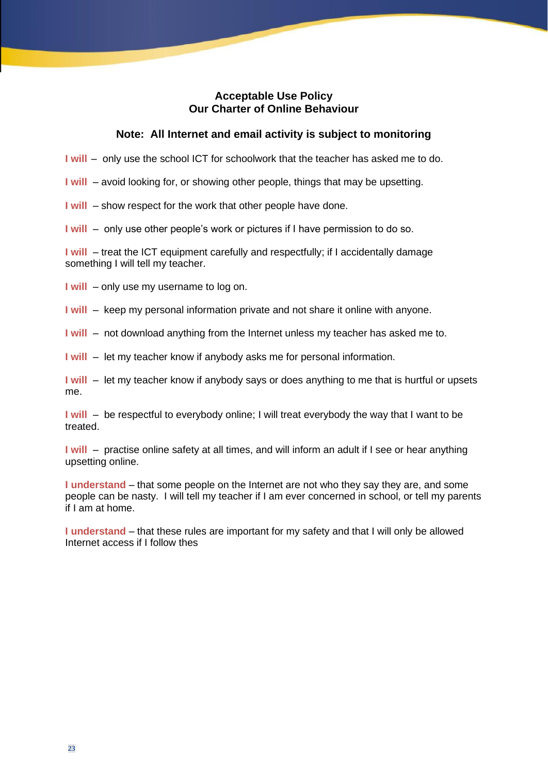## **Acceptable Use Policy Our Charter of Online Behaviour**

#### **Note: All Internet and email activity is subject to monitoring**

**I** will – only use the school ICT for schoolwork that the teacher has asked me to do.

**I will** – avoid looking for, or showing other people, things that may be upsetting.

**I will** – show respect for the work that other people have done.

**I will** – only use other people's work or pictures if I have permission to do so.

**I** will – treat the ICT equipment carefully and respectfully; if I accidentally damage something I will tell my teacher.

**I will** – only use my username to log on.

**I will** – keep my personal information private and not share it online with anyone.

**I will** – not download anything from the Internet unless my teacher has asked me to.

**I will** – let my teacher know if anybody asks me for personal information.

**I will** – let my teacher know if anybody says or does anything to me that is hurtful or upsets me.

**I** will – be respectful to everybody online; I will treat everybody the way that I want to be treated.

**I** will – practise online safety at all times, and will inform an adult if I see or hear anything upsetting online.

**I understand** – that some people on the Internet are not who they say they are, and some people can be nasty. I will tell my teacher if I am ever concerned in school, or tell my parents if I am at home.

**I understand** – that these rules are important for my safety and that I will only be allowed Internet access if I follow thes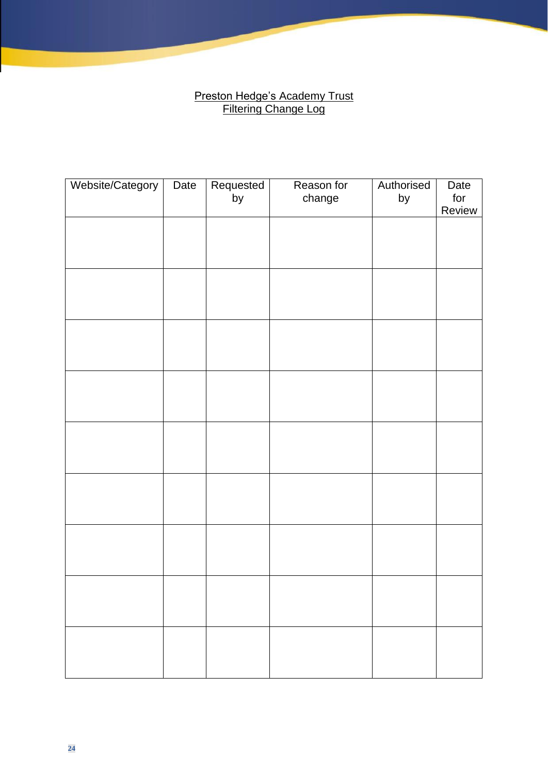# **Preston Hedge's Academy Trust** Filtering Change Log

| Website/Category | Date | Requested | Reason for | Authorised | Date          |
|------------------|------|-----------|------------|------------|---------------|
|                  |      | by        | change     | by         | for<br>Review |
|                  |      |           |            |            |               |
|                  |      |           |            |            |               |
|                  |      |           |            |            |               |
|                  |      |           |            |            |               |
|                  |      |           |            |            |               |
|                  |      |           |            |            |               |
|                  |      |           |            |            |               |
|                  |      |           |            |            |               |
|                  |      |           |            |            |               |
|                  |      |           |            |            |               |
|                  |      |           |            |            |               |
|                  |      |           |            |            |               |
|                  |      |           |            |            |               |
|                  |      |           |            |            |               |
|                  |      |           |            |            |               |
|                  |      |           |            |            |               |
|                  |      |           |            |            |               |
|                  |      |           |            |            |               |
|                  |      |           |            |            |               |
|                  |      |           |            |            |               |
|                  |      |           |            |            |               |
|                  |      |           |            |            |               |
|                  |      |           |            |            |               |
|                  |      |           |            |            |               |
|                  |      |           |            |            |               |
|                  |      |           |            |            |               |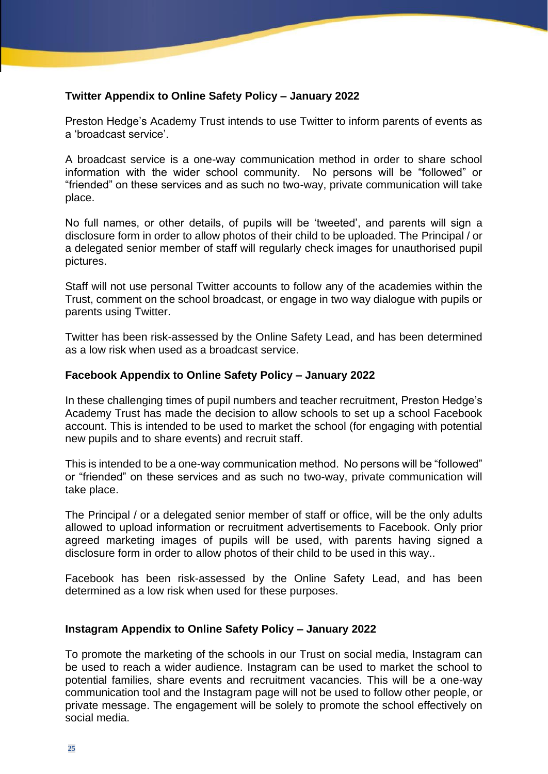# **Twitter Appendix to Online Safety Policy – January 2022**

Preston Hedge's Academy Trust intends to use Twitter to inform parents of events as a 'broadcast service'.

A broadcast service is a one-way communication method in order to share school information with the wider school community. No persons will be "followed" or "friended" on these services and as such no two-way, private communication will take place.

No full names, or other details, of pupils will be 'tweeted', and parents will sign a disclosure form in order to allow photos of their child to be uploaded. The Principal / or a delegated senior member of staff will regularly check images for unauthorised pupil pictures.

Staff will not use personal Twitter accounts to follow any of the academies within the Trust, comment on the school broadcast, or engage in two way dialogue with pupils or parents using Twitter.

Twitter has been risk-assessed by the Online Safety Lead, and has been determined as a low risk when used as a broadcast service.

# **Facebook Appendix to Online Safety Policy – January 2022**

In these challenging times of pupil numbers and teacher recruitment, Preston Hedge's Academy Trust has made the decision to allow schools to set up a school Facebook account. This is intended to be used to market the school (for engaging with potential new pupils and to share events) and recruit staff.

This is intended to be a one-way communication method. No persons will be "followed" or "friended" on these services and as such no two-way, private communication will take place.

The Principal / or a delegated senior member of staff or office, will be the only adults allowed to upload information or recruitment advertisements to Facebook. Only prior agreed marketing images of pupils will be used, with parents having signed a disclosure form in order to allow photos of their child to be used in this way..

Facebook has been risk-assessed by the Online Safety Lead, and has been determined as a low risk when used for these purposes.

# **Instagram Appendix to Online Safety Policy – January 2022**

To promote the marketing of the schools in our Trust on social media, Instagram can be used to reach a wider audience. Instagram can be used to market the school to potential families, share events and recruitment vacancies. This will be a one-way communication tool and the Instagram page will not be used to follow other people, or private message. The engagement will be solely to promote the school effectively on social media.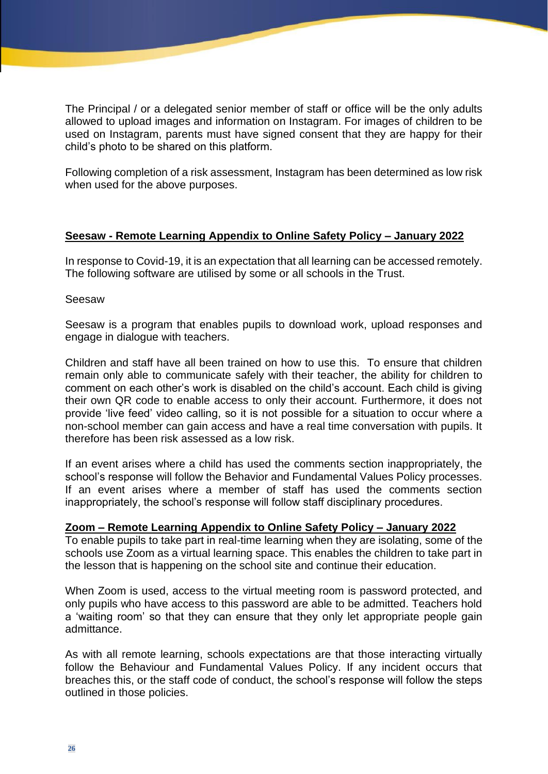The Principal / or a delegated senior member of staff or office will be the only adults allowed to upload images and information on Instagram. For images of children to be used on Instagram, parents must have signed consent that they are happy for their child's photo to be shared on this platform.

Following completion of a risk assessment, Instagram has been determined as low risk when used for the above purposes.

# **Seesaw - Remote Learning Appendix to Online Safety Policy – January 2022**

In response to Covid-19, it is an expectation that all learning can be accessed remotely. The following software are utilised by some or all schools in the Trust.

### Seesaw

Seesaw is a program that enables pupils to download work, upload responses and engage in dialogue with teachers.

Children and staff have all been trained on how to use this. To ensure that children remain only able to communicate safely with their teacher, the ability for children to comment on each other's work is disabled on the child's account. Each child is giving their own QR code to enable access to only their account. Furthermore, it does not provide 'live feed' video calling, so it is not possible for a situation to occur where a non-school member can gain access and have a real time conversation with pupils. It therefore has been risk assessed as a low risk.

If an event arises where a child has used the comments section inappropriately, the school's response will follow the Behavior and Fundamental Values Policy processes. If an event arises where a member of staff has used the comments section inappropriately, the school's response will follow staff disciplinary procedures.

# **Zoom – Remote Learning Appendix to Online Safety Policy – January 2022**

To enable pupils to take part in real-time learning when they are isolating, some of the schools use Zoom as a virtual learning space. This enables the children to take part in the lesson that is happening on the school site and continue their education.

When Zoom is used, access to the virtual meeting room is password protected, and only pupils who have access to this password are able to be admitted. Teachers hold a 'waiting room' so that they can ensure that they only let appropriate people gain admittance.

As with all remote learning, schools expectations are that those interacting virtually follow the Behaviour and Fundamental Values Policy. If any incident occurs that breaches this, or the staff code of conduct, the school's response will follow the steps outlined in those policies.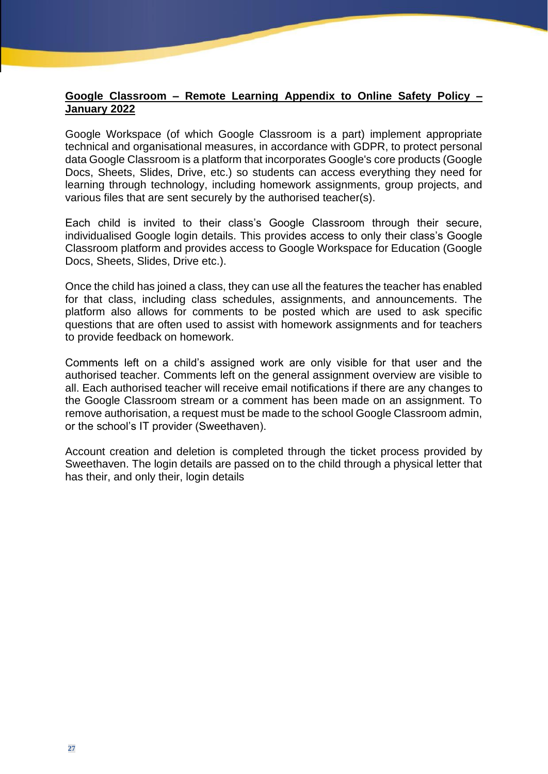## **Google Classroom – Remote Learning Appendix to Online Safety Policy – January 2022**

Google Workspace (of which Google Classroom is a part) implement appropriate technical and organisational measures, in accordance with GDPR, to protect personal data Google Classroom is a platform that incorporates Google's core products (Google Docs, Sheets, Slides, Drive, etc.) so students can access everything they need for learning through technology, including homework assignments, group projects, and various files that are sent securely by the authorised teacher(s).

Each child is invited to their class's Google Classroom through their secure, individualised Google login details. This provides access to only their class's Google Classroom platform and provides access to Google Workspace for Education (Google Docs, Sheets, Slides, Drive etc.).

Once the child has joined a class, they can use all the features the teacher has enabled for that class, including class schedules, assignments, and announcements. The platform also allows for comments to be posted which are used to ask specific questions that are often used to assist with homework assignments and for teachers to provide feedback on homework.

Comments left on a child's assigned work are only visible for that user and the authorised teacher. Comments left on the general assignment overview are visible to all. Each authorised teacher will receive email notifications if there are any changes to the Google Classroom stream or a comment has been made on an assignment. To remove authorisation, a request must be made to the school Google Classroom admin, or the school's IT provider (Sweethaven).

Account creation and deletion is completed through the ticket process provided by Sweethaven. The login details are passed on to the child through a physical letter that has their, and only their, login details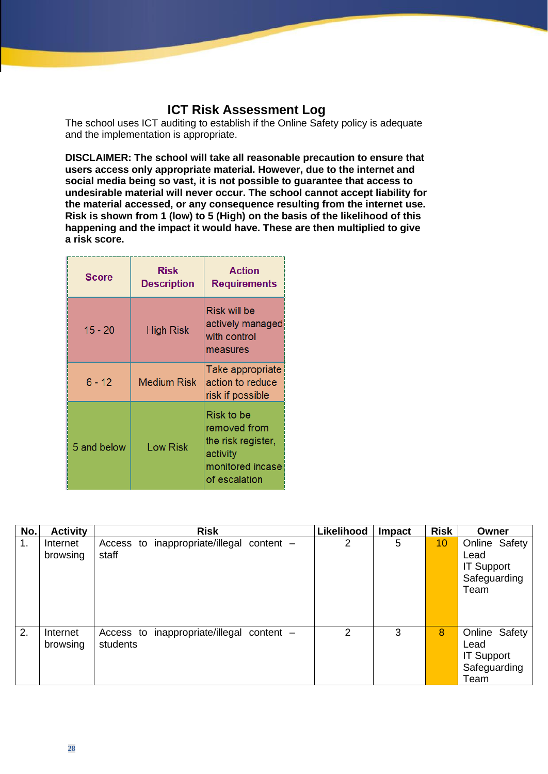# **ICT Risk Assessment Log**

The school uses ICT auditing to establish if the Online Safety policy is adequate and the implementation is appropriate.

**DISCLAIMER: The school will take all reasonable precaution to ensure that users access only appropriate material. However, due to the internet and social media being so vast, it is not possible to guarantee that access to undesirable material will never occur. The school cannot accept liability for the material accessed, or any consequence resulting from the internet use. Risk is shown from 1 (low) to 5 (High) on the basis of the likelihood of this happening and the impact it would have. These are then multiplied to give a risk score.**

| <b>Score</b> | Risk<br><b>Description</b> | <b>Action</b><br><b>Requirements</b>                                                              |
|--------------|----------------------------|---------------------------------------------------------------------------------------------------|
| $15 - 20$    | <b>High Risk</b>           | Risk will be<br>actively managed<br>with control<br>measures                                      |
| $6 - 12$     | <b>Medium Risk</b>         | Take appropriate<br>action to reduce<br>risk if possible                                          |
| 5 and below  | <b>Low Risk</b>            | Risk to be<br>removed from<br>the risk register,<br>activity<br>monitored incase<br>of escalation |

| No.            | <b>Activity</b>      | <b>Risk</b>                                           | Likelihood     | <b>Impact</b> | <b>Risk</b> | Owner                                                              |
|----------------|----------------------|-------------------------------------------------------|----------------|---------------|-------------|--------------------------------------------------------------------|
| $\mathbf{1}$ . | Internet<br>browsing | Access to inappropriate/illegal content -<br>staff    | 2              | 5             | 10          | Online Safety<br>Lead<br><b>IT Support</b><br>Safeguarding<br>Team |
| 2.             | Internet<br>browsing | Access to inappropriate/illegal content -<br>students | $\overline{2}$ | 3             | 8           | Online Safety<br>Lead<br><b>IT Support</b><br>Safeguarding<br>Team |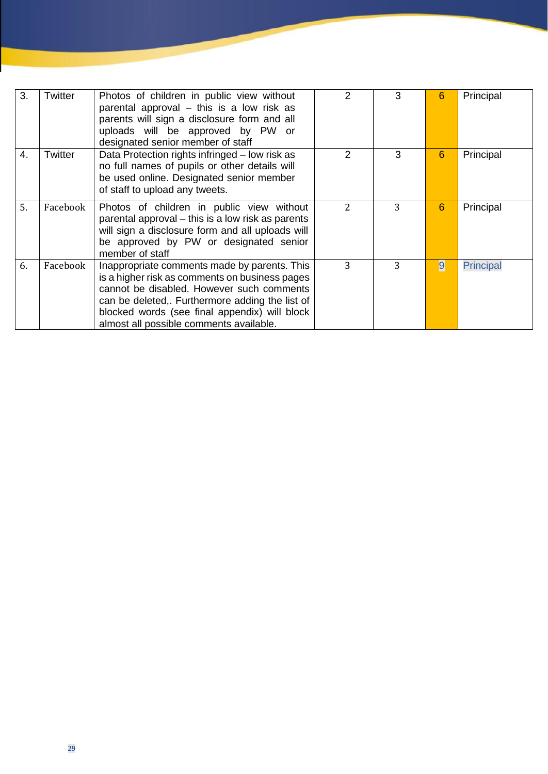| 3. | Twitter  | Photos of children in public view without<br>parental approval $-$ this is a low risk as<br>parents will sign a disclosure form and all<br>uploads will be approved by PW or<br>designated senior member of staff                                                                          | 2             | 3 | 6 | Principal        |
|----|----------|--------------------------------------------------------------------------------------------------------------------------------------------------------------------------------------------------------------------------------------------------------------------------------------------|---------------|---|---|------------------|
| 4. | Twitter  | Data Protection rights infringed – low risk as<br>no full names of pupils or other details will<br>be used online. Designated senior member<br>of staff to upload any tweets.                                                                                                              | 2             | 3 | 6 | Principal        |
| 5. | Facebook | Photos of children in public view without<br>parental approval - this is a low risk as parents<br>will sign a disclosure form and all uploads will<br>be approved by PW or designated senior<br>member of staff                                                                            | $\mathcal{L}$ | 3 | 6 | Principal        |
| 6. | Facebook | Inappropriate comments made by parents. This<br>is a higher risk as comments on business pages<br>cannot be disabled. However such comments<br>can be deleted,. Furthermore adding the list of<br>blocked words (see final appendix) will block<br>almost all possible comments available. | 3             | 3 | 9 | <b>Principal</b> |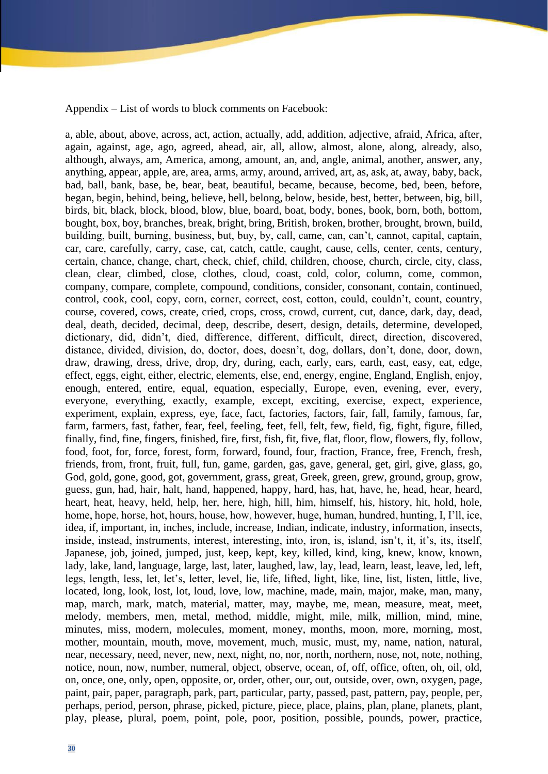Appendix – List of words to block comments on Facebook:

a, able, about, above, across, act, action, actually, add, addition, adjective, afraid, Africa, after, again, against, age, ago, agreed, ahead, air, all, allow, almost, alone, along, already, also, although, always, am, America, among, amount, an, and, angle, animal, another, answer, any, anything, appear, apple, are, area, arms, army, around, arrived, art, as, ask, at, away, baby, back, bad, ball, bank, base, be, bear, beat, beautiful, became, because, become, bed, been, before, began, begin, behind, being, believe, bell, belong, below, beside, best, better, between, big, bill, birds, bit, black, block, blood, blow, blue, board, boat, body, bones, book, born, both, bottom, bought, box, boy, branches, break, bright, bring, British, broken, brother, brought, brown, build, building, built, burning, business, but, buy, by, call, came, can, can't, cannot, capital, captain, car, care, carefully, carry, case, cat, catch, cattle, caught, cause, cells, center, cents, century, certain, chance, change, chart, check, chief, child, children, choose, church, circle, city, class, clean, clear, climbed, close, clothes, cloud, coast, cold, color, column, come, common, company, compare, complete, compound, conditions, consider, consonant, contain, continued, control, cook, cool, copy, corn, corner, correct, cost, cotton, could, couldn't, count, country, course, covered, cows, create, cried, crops, cross, crowd, current, cut, dance, dark, day, dead, deal, death, decided, decimal, deep, describe, desert, design, details, determine, developed, dictionary, did, didn't, died, difference, different, difficult, direct, direction, discovered, distance, divided, division, do, doctor, does, doesn't, dog, dollars, don't, done, door, down, draw, drawing, dress, drive, drop, dry, during, each, early, ears, earth, east, easy, eat, edge, effect, eggs, eight, either, electric, elements, else, end, energy, engine, England, English, enjoy, enough, entered, entire, equal, equation, especially, Europe, even, evening, ever, every, everyone, everything, exactly, example, except, exciting, exercise, expect, experience, experiment, explain, express, eye, face, fact, factories, factors, fair, fall, family, famous, far, farm, farmers, fast, father, fear, feel, feeling, feet, fell, felt, few, field, fig, fight, figure, filled, finally, find, fine, fingers, finished, fire, first, fish, fit, five, flat, floor, flow, flowers, fly, follow, food, foot, for, force, forest, form, forward, found, four, fraction, France, free, French, fresh, friends, from, front, fruit, full, fun, game, garden, gas, gave, general, get, girl, give, glass, go, God, gold, gone, good, got, government, grass, great, Greek, green, grew, ground, group, grow, guess, gun, had, hair, halt, hand, happened, happy, hard, has, hat, have, he, head, hear, heard, heart, heat, heavy, held, help, her, here, high, hill, him, himself, his, history, hit, hold, hole, home, hope, horse, hot, hours, house, how, however, huge, human, hundred, hunting, I, I'll, ice, idea, if, important, in, inches, include, increase, Indian, indicate, industry, information, insects, inside, instead, instruments, interest, interesting, into, iron, is, island, isn't, it, it's, its, itself, Japanese, job, joined, jumped, just, keep, kept, key, killed, kind, king, knew, know, known, lady, lake, land, language, large, last, later, laughed, law, lay, lead, learn, least, leave, led, left, legs, length, less, let, let's, letter, level, lie, life, lifted, light, like, line, list, listen, little, live, located, long, look, lost, lot, loud, love, low, machine, made, main, major, make, man, many, map, march, mark, match, material, matter, may, maybe, me, mean, measure, meat, meet, melody, members, men, metal, method, middle, might, mile, milk, million, mind, mine, minutes, miss, modern, molecules, moment, money, months, moon, more, morning, most, mother, mountain, mouth, move, movement, much, music, must, my, name, nation, natural, near, necessary, need, never, new, next, night, no, nor, north, northern, nose, not, note, nothing, notice, noun, now, number, numeral, object, observe, ocean, of, off, office, often, oh, oil, old, on, once, one, only, open, opposite, or, order, other, our, out, outside, over, own, oxygen, page, paint, pair, paper, paragraph, park, part, particular, party, passed, past, pattern, pay, people, per, perhaps, period, person, phrase, picked, picture, piece, place, plains, plan, plane, planets, plant, play, please, plural, poem, point, pole, poor, position, possible, pounds, power, practice,